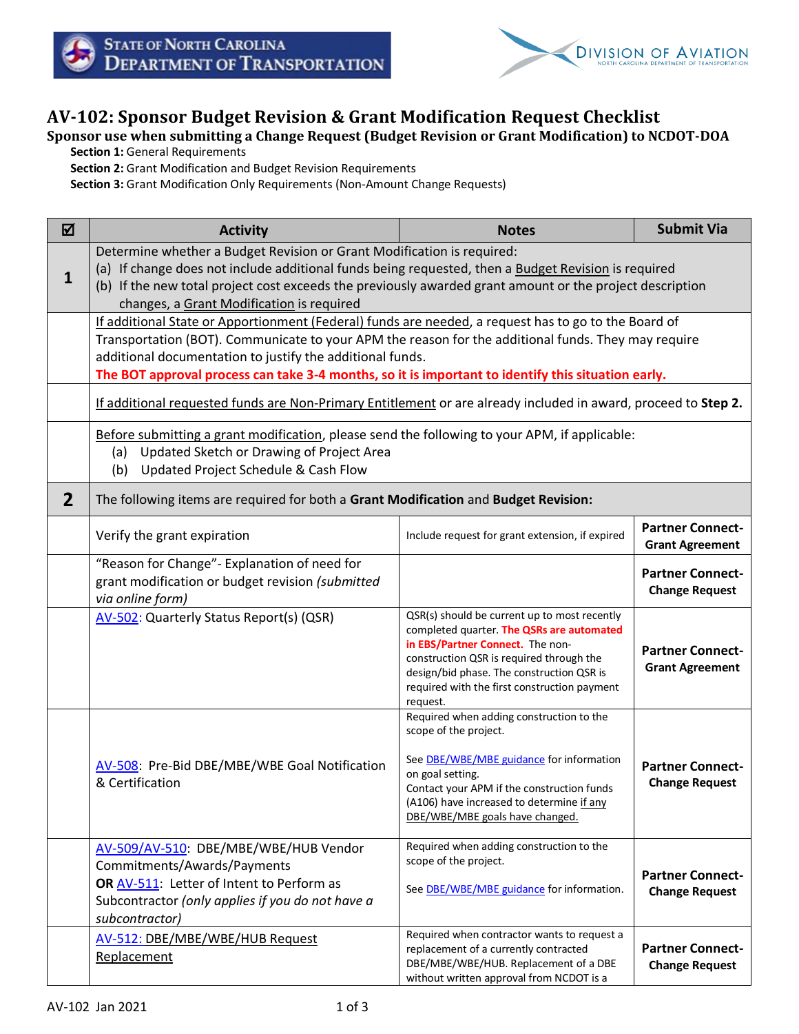



## **AV-102: Sponsor Budget Revision & Grant Modification Request Checklist**

## **Sponsor use when submitting a Change Request (Budget Revision or Grant Modification) to NCDOT-DOA**

**Section 1:** General Requirements

**Section 2:** Grant Modification and Budget Revision Requirements

**Section 3:** Grant Modification Only Requirements (Non-Amount Change Requests)

| ☑              | <b>Activity</b>                                                                                                                                                                                                                                                                                                                                                                | <b>Notes</b>                                                                                                                                                                                                                                                                       | <b>Submit Via</b>                                 |  |  |
|----------------|--------------------------------------------------------------------------------------------------------------------------------------------------------------------------------------------------------------------------------------------------------------------------------------------------------------------------------------------------------------------------------|------------------------------------------------------------------------------------------------------------------------------------------------------------------------------------------------------------------------------------------------------------------------------------|---------------------------------------------------|--|--|
| $\mathbf{1}$   | Determine whether a Budget Revision or Grant Modification is required:<br>(a) If change does not include additional funds being requested, then a Budget Revision is required<br>(b) If the new total project cost exceeds the previously awarded grant amount or the project description<br>changes, a Grant Modification is required                                         |                                                                                                                                                                                                                                                                                    |                                                   |  |  |
|                | If additional State or Apportionment (Federal) funds are needed, a request has to go to the Board of<br>Transportation (BOT). Communicate to your APM the reason for the additional funds. They may require<br>additional documentation to justify the additional funds.<br>The BOT approval process can take 3-4 months, so it is important to identify this situation early. |                                                                                                                                                                                                                                                                                    |                                                   |  |  |
|                | If additional requested funds are Non-Primary Entitlement or are already included in award, proceed to Step 2.                                                                                                                                                                                                                                                                 |                                                                                                                                                                                                                                                                                    |                                                   |  |  |
|                | Before submitting a grant modification, please send the following to your APM, if applicable:<br>Updated Sketch or Drawing of Project Area<br>(a)<br>Updated Project Schedule & Cash Flow<br>(b)                                                                                                                                                                               |                                                                                                                                                                                                                                                                                    |                                                   |  |  |
| $\overline{2}$ | The following items are required for both a Grant Modification and Budget Revision:                                                                                                                                                                                                                                                                                            |                                                                                                                                                                                                                                                                                    |                                                   |  |  |
|                | Verify the grant expiration                                                                                                                                                                                                                                                                                                                                                    | Include request for grant extension, if expired                                                                                                                                                                                                                                    | <b>Partner Connect-</b><br><b>Grant Agreement</b> |  |  |
|                | "Reason for Change" - Explanation of need for<br>grant modification or budget revision (submitted<br>via online form)                                                                                                                                                                                                                                                          |                                                                                                                                                                                                                                                                                    | <b>Partner Connect-</b><br><b>Change Request</b>  |  |  |
|                | AV-502: Quarterly Status Report(s) (QSR)                                                                                                                                                                                                                                                                                                                                       | QSR(s) should be current up to most recently<br>completed quarter. The QSRs are automated<br>in EBS/Partner Connect. The non-<br>construction QSR is required through the<br>design/bid phase. The construction QSR is<br>required with the first construction payment<br>request. | <b>Partner Connect-</b><br><b>Grant Agreement</b> |  |  |
|                | AV-508: Pre-Bid DBE/MBE/WBE Goal Notification<br>& Certification                                                                                                                                                                                                                                                                                                               | Required when adding construction to the<br>scope of the project.<br>See <b>DBE/WBE/MBE</b> guidance for information<br>on goal setting.<br>Contact your APM if the construction funds<br>(A106) have increased to determine if any<br>DBE/WBE/MBE goals have changed.             | <b>Partner Connect-</b><br><b>Change Request</b>  |  |  |
|                | AV-509/AV-510: DBE/MBE/WBE/HUB Vendor<br>Commitments/Awards/Payments<br>OR AV-511: Letter of Intent to Perform as<br>Subcontractor (only applies if you do not have a<br>subcontractor)                                                                                                                                                                                        | Required when adding construction to the<br>scope of the project.<br>See <b>DBE/WBE/MBE</b> guidance for information.                                                                                                                                                              | <b>Partner Connect-</b><br><b>Change Request</b>  |  |  |
|                | AV-512: DBE/MBE/WBE/HUB Request<br>Replacement                                                                                                                                                                                                                                                                                                                                 | Required when contractor wants to request a<br>replacement of a currently contracted<br>DBE/MBE/WBE/HUB. Replacement of a DBE<br>without written approval from NCDOT is a                                                                                                          | <b>Partner Connect-</b><br><b>Change Request</b>  |  |  |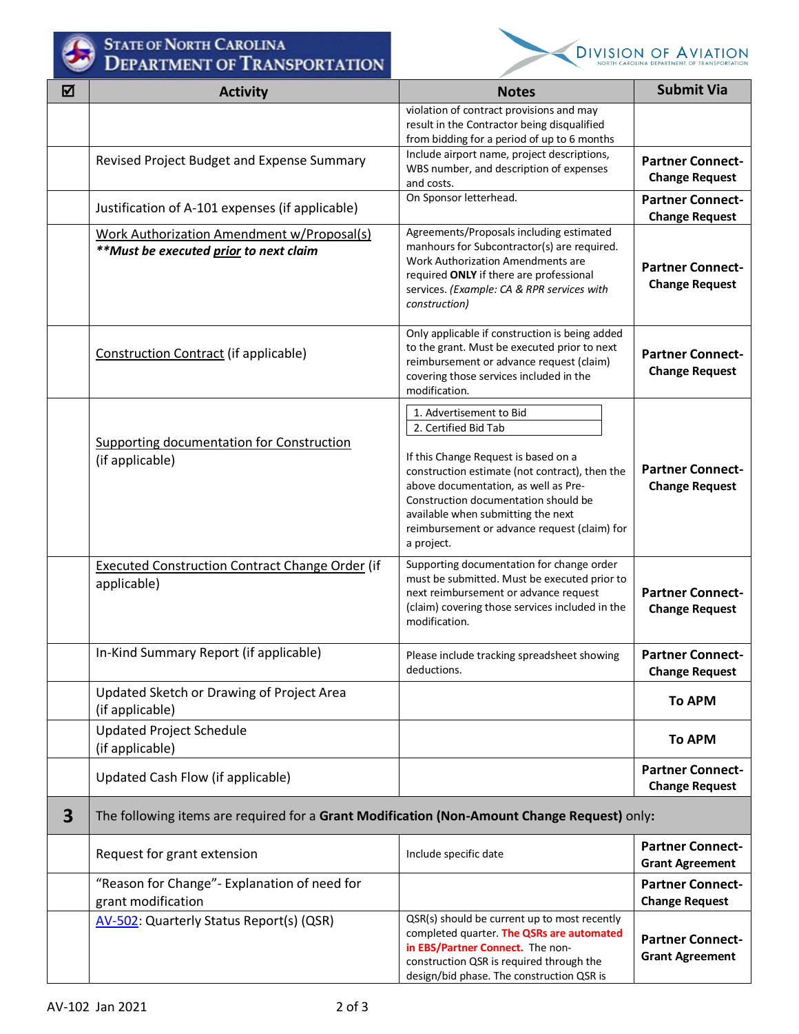

## STATE OF NORTH CAROLINA



|                         | LIMINICAT OF FRANCISCHILICA                                                                 |                                                                                           |                                                   |
|-------------------------|---------------------------------------------------------------------------------------------|-------------------------------------------------------------------------------------------|---------------------------------------------------|
| 冈                       | <b>Activity</b>                                                                             | <b>Notes</b>                                                                              | <b>Submit Via</b>                                 |
|                         |                                                                                             | violation of contract provisions and may<br>result in the Contractor being disqualified   |                                                   |
|                         |                                                                                             | from bidding for a period of up to 6 months                                               |                                                   |
|                         | Revised Project Budget and Expense Summary                                                  | Include airport name, project descriptions,                                               | <b>Partner Connect-</b>                           |
|                         |                                                                                             | WBS number, and description of expenses<br>and costs.                                     | <b>Change Request</b>                             |
|                         | Justification of A-101 expenses (if applicable)                                             | On Sponsor letterhead.                                                                    | <b>Partner Connect-</b>                           |
|                         |                                                                                             |                                                                                           | <b>Change Request</b>                             |
|                         | Work Authorization Amendment w/Proposal(s)<br>**Must be executed prior to next claim        | Agreements/Proposals including estimated<br>manhours for Subcontractor(s) are required.   |                                                   |
|                         |                                                                                             | Work Authorization Amendments are                                                         | <b>Partner Connect-</b>                           |
|                         |                                                                                             | required ONLY if there are professional<br>services. (Example: CA & RPR services with     | <b>Change Request</b>                             |
|                         |                                                                                             | construction)                                                                             |                                                   |
|                         |                                                                                             | Only applicable if construction is being added                                            |                                                   |
|                         | Construction Contract (if applicable)                                                       | to the grant. Must be executed prior to next                                              | <b>Partner Connect-</b>                           |
|                         |                                                                                             | reimbursement or advance request (claim)<br>covering those services included in the       | <b>Change Request</b>                             |
|                         |                                                                                             | modification.                                                                             |                                                   |
|                         |                                                                                             | 1. Advertisement to Bid                                                                   |                                                   |
|                         |                                                                                             | 2. Certified Bid Tab                                                                      |                                                   |
|                         | <b>Supporting documentation for Construction</b><br>(if applicable)                         | If this Change Request is based on a                                                      |                                                   |
|                         |                                                                                             | construction estimate (not contract), then the                                            | <b>Partner Connect-</b>                           |
|                         |                                                                                             | above documentation, as well as Pre-<br>Construction documentation should be              | <b>Change Request</b>                             |
|                         |                                                                                             | available when submitting the next                                                        |                                                   |
|                         |                                                                                             | reimbursement or advance request (claim) for<br>a project.                                |                                                   |
|                         | <b>Executed Construction Contract Change Order (if</b>                                      | Supporting documentation for change order                                                 |                                                   |
|                         | applicable)                                                                                 | must be submitted. Must be executed prior to                                              |                                                   |
|                         |                                                                                             | next reimbursement or advance request<br>(claim) covering those services included in the  | <b>Partner Connect-</b>                           |
|                         |                                                                                             | modification.                                                                             | <b>Change Request</b>                             |
|                         |                                                                                             |                                                                                           |                                                   |
|                         | In-Kind Summary Report (if applicable)                                                      | Please include tracking spreadsheet showing<br>deductions.                                | <b>Partner Connect-</b><br><b>Change Request</b>  |
|                         | Updated Sketch or Drawing of Project Area                                                   |                                                                                           |                                                   |
|                         | (if applicable)                                                                             |                                                                                           | <b>To APM</b>                                     |
|                         | <b>Updated Project Schedule</b>                                                             |                                                                                           |                                                   |
|                         | (if applicable)                                                                             |                                                                                           | <b>To APM</b>                                     |
|                         | Updated Cash Flow (if applicable)                                                           |                                                                                           | <b>Partner Connect-</b><br><b>Change Request</b>  |
| $\overline{\mathbf{3}}$ | The following items are required for a Grant Modification (Non-Amount Change Request) only: |                                                                                           |                                                   |
|                         | Request for grant extension                                                                 | Include specific date                                                                     | <b>Partner Connect-</b><br><b>Grant Agreement</b> |
|                         | "Reason for Change" - Explanation of need for                                               |                                                                                           | <b>Partner Connect-</b>                           |
|                         | grant modification                                                                          |                                                                                           | <b>Change Request</b>                             |
|                         | AV-502: Quarterly Status Report(s) (QSR)                                                    | QSR(s) should be current up to most recently<br>completed quarter. The QSRs are automated |                                                   |
|                         |                                                                                             | in EBS/Partner Connect. The non-                                                          | <b>Partner Connect-</b><br><b>Grant Agreement</b> |
|                         |                                                                                             | construction QSR is required through the<br>design/bid phase. The construction QSR is     |                                                   |